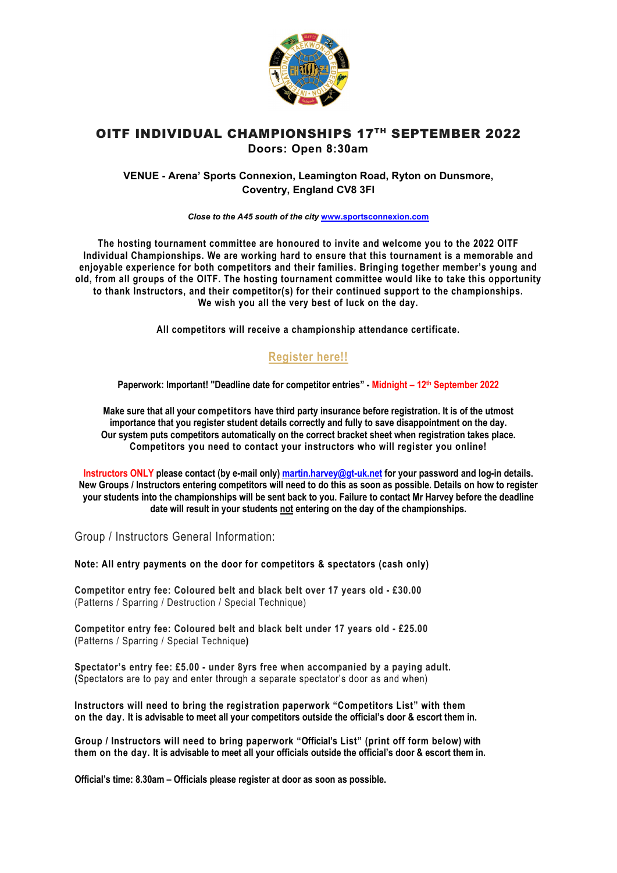

## OITF INDIVIDUAL CHAMPIONSHIPS 17TH SEPTEMBER 2022 **Doors: Open 8:30am**

### **VENUE - Arena' Sports Connexion, Leamington Road, Ryton on Dunsmore, Coventry, England CV8 3Fl**

*Close to the A45 south of the city* **[www.sportsconnexion.com](http://www.sportsconnexion.com/)**

**The hosting tournament committee are honoured to invite and welcome you to the 2022 OITF Individual Championships. We are working hard to ensure that this tournament is a memorable and enjoyable experience for both competitors and their families. Bringing together member's young and old, from all groups of the OITF. The hosting tournament committee would like to take this opportunity to thank Instructors, and their competitor(s) for their continued support to the championships. We wish you all the very best of luck on the day.**

**All competitors will receive a championship attendance certificate.**

## **[Register here!!](https://gt-uk.net/tournament-registration/)**

**Paperwork: Important! "Deadline date for competitor entries" - Midnight – 12th September 2022**

**Make sure that all your competitors have third party insurance before registration. It is of the utmost importance that you register student details correctly and fully to save disappointment on the day. Our system puts competitors automatically on the correct bracket sheet when registration takes place. Competitors you need to contact your instructors who will register you online!** 

**Instructors ONLY please contact (by e-mail only[\) martin.harvey@gt-uk.net](mailto:martinnharvey@hotmail.com) for your password and log-in details. New Groups / Instructors entering competitors will need to do this as soon as possible. Details on how to register your students into the championships will be sent back to you. Failure to contact Mr Harvey before the deadline date will result in your students not entering on the day of the championships.** 

Group / Instructors General Information:

**Note: All entry payments on the door for competitors & spectators (cash only)**

**Competitor entry fee: Coloured belt and black belt over 17 years old - £30.00**  (Patterns / Sparring / Destruction / Special Technique)

**Competitor entry fee: Coloured belt and black belt under 17 years old - £25.00 (**Patterns / Sparring / Special Technique**)** 

**Spectator's entry fee: £5.00 - under 8yrs free when accompanied by a paying adult. (**Spectators are to pay and enter through a separate spectator's door as and when)

**Instructors will need to bring the registration paperwork "Competitors List" with them on the day. It is advisable to meet all your competitors outside the official's door & escort them in.** 

**Group / Instructors will need to bring paperwork "Official's List" (print off form below) with them on the day. It is advisable to meet all your officials outside the official's door & escort them in.** 

**Official's time: 8.30am – Officials please register at door as soon as possible.**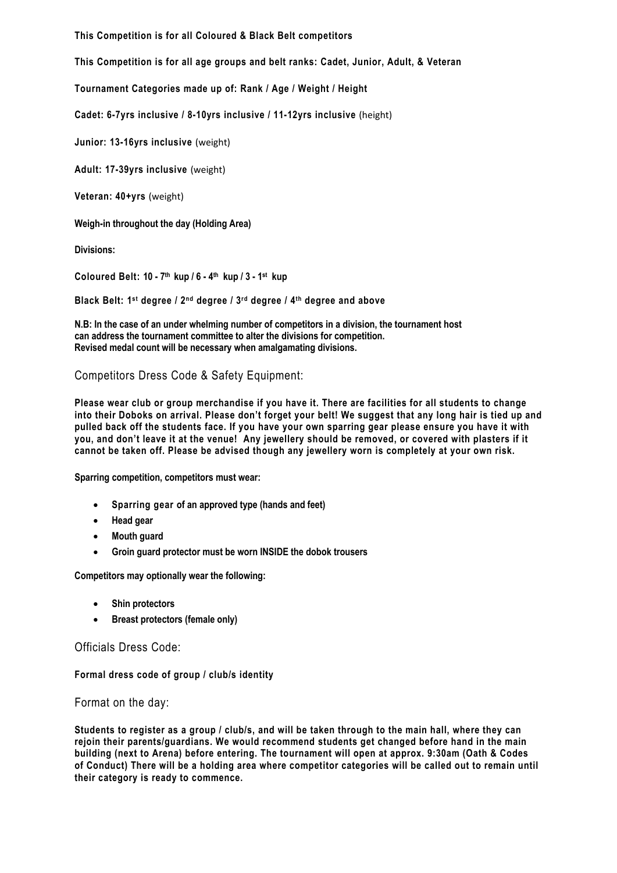**This Competition is for all Coloured & Black Belt competitors** 

**This Competition is for all age groups and belt ranks: Cadet, Junior, Adult, & Veteran**

**Tournament Categories made up of: Rank / Age / Weight / Height** 

**Cadet: 6-7yrs inclusive / 8-10yrs inclusive / 11-12yrs inclusive** (height)

**Junior: 13-16yrs inclusive** (weight)

**Adult: 17-39yrs inclusive** (weight)

**Veteran: 40+yrs** (weight)

**Weigh-in throughout the day (Holding Area)**

**Divisions:** 

**Coloured Belt: 10 - 7th kup / 6 - 4th kup / 3 - 1st kup**

**Black Belt: 1st degree / 2nd degree / 3rd degree / 4th degree and above** 

**N.B: In the case of an under whelming number of competitors in a division, the tournament host can address the tournament committee to alter the divisions for competition. Revised medal count will be necessary when amalgamating divisions.** 

Competitors Dress Code & Safety Equipment:

**Please wear club or group merchandise if you have it. There are facilities for all students to change into their Doboks on arrival. Please don't forget your belt! We suggest that any long hair is tied up and pulled back off the students face. If you have your own sparring gear please ensure you have it with you, and don't leave it at the venue! Any jewellery should be removed, or covered with plasters if it cannot be taken off. Please be advised though any jewellery worn is completely at your own risk.**

**Sparring competition, competitors must wear:** 

- **Sparring gear of an approved type (hands and feet)**
- **Head gear**
- **Mouth guard**
- **Groin guard protector must be worn INSIDE the dobok trousers**

**Competitors may optionally wear the following:** 

- **Shin protectors**
- **Breast protectors (female only)**

Officials Dress Code:

**Formal dress code of group / club/s identity** 

Format on the day:

**Students to register as a group / club/s, and will be taken through to the main hall, where they can rejoin their parents/guardians. We would recommend students get changed before hand in the main building (next to Arena) before entering. The tournament will open at approx. 9:30am (Oath & Codes of Conduct) There will be a holding area where competitor categories will be called out to remain until their category is ready to commence.**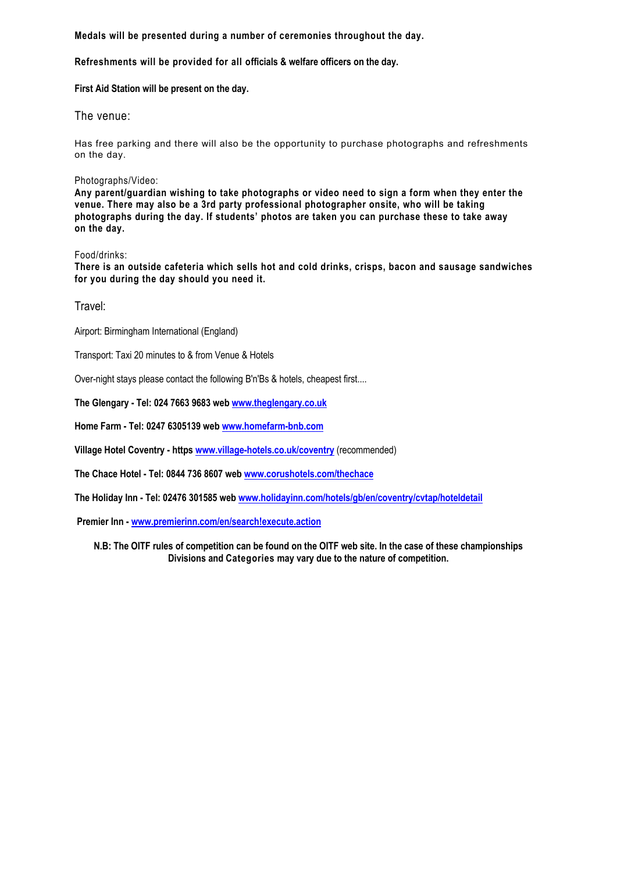**Medals will be presented during a number of ceremonies throughout the day.**

**Refreshments will be provided for all officials & welfare officers on the day.** 

**First Aid Station will be present on the day.** 

The venue:

Has free parking and there will also be the opportunity to purchase photographs and refreshments on the day.

#### Photographs/Video:

**Any parent/guardian wishing to take photographs or video need to sign a form when they enter the venue. There may also be a 3rd party professional photographer onsite, who will be taking photographs during the day. If students' photos are taken you can purchase these to take away on the day.**

#### Food/drinks:

**There is an outside cafeteria which sells hot and cold drinks, crisps, bacon and sausage sandwiches for you during the day should you need it.**

Travel:

Airport: Birmingham International (England)

Transport: Taxi 20 minutes to & from Venue & Hotels

Over-night stays please contact the following B'n'Bs & hotels, cheapest first....

**The Glengary - Tel: 024 7663 9683 web [www.theglengary.co.uk](http://www.theglengary.co.uk/)**

**Home Farm - Tel: 0247 6305139 web [www.homefarm-bnb.com](http://www.homefarm-bnb.com/)**

**Village Hotel Coventry - http[s www.village-hotels.co.uk/coventry](http://www.village-hotels.co.uk/coventry)** (recommended)

**The Chace Hotel - Tel: 0844 736 8607 web [www.corushotels.com/thechace](http://www.corushotels.com/thechace)**

**The Holiday Inn - Tel: 02476 301585 web [www.holidayinn.com/hotels/gb/en/coventry/cvtap/hoteldetail](http://www.holidayinn.com/hotels/gb/en/coventry/cvtap/hoteldetail)**

**Premier Inn - [www.premierinn.com/en/search!execute.action](http://www.premierinn.com/en/search!execute.action)**

**N.B: The OITF rules of competition can be found on the OITF web site. In the case of these championships Divisions and Categories may vary due to the nature of competition.**